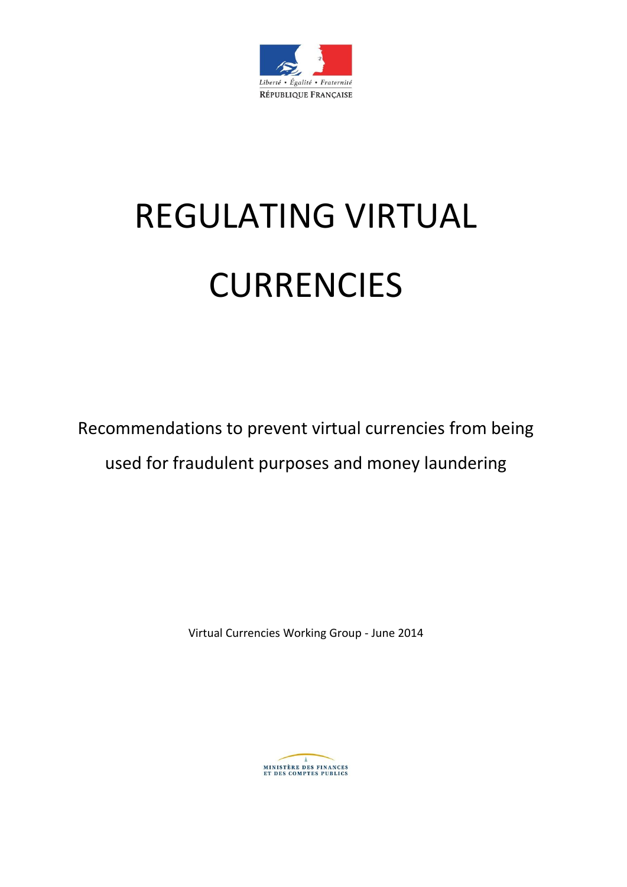

# REGULATING VIRTUAL **CURRENCIES**

Recommendations to prevent virtual currencies from being used for fraudulent purposes and money laundering

Virtual Currencies Working Group - June 2014

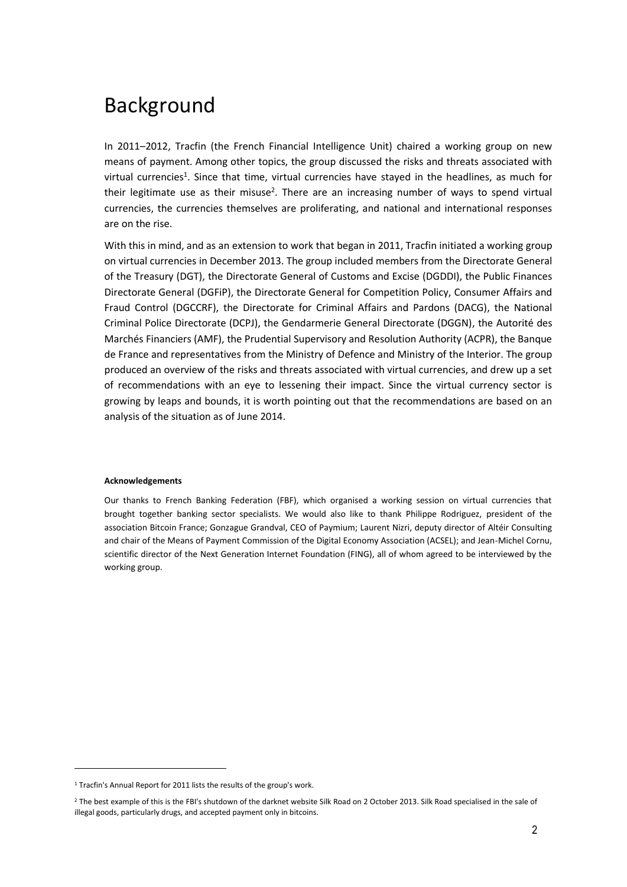# Background

In 2011–2012, Tracfin (the French Financial Intelligence Unit) chaired a working group on new means of payment. Among other topics, the group discussed the risks and threats associated with virtual currencies<sup>1</sup>. Since that time, virtual currencies have stayed in the headlines, as much for their legitimate use as their misuse<sup>2</sup>. There are an increasing number of ways to spend virtual currencies, the currencies themselves are proliferating, and national and international responses are on the rise.

With this in mind, and as an extension to work that began in 2011, Tracfin initiated a working group on virtual currencies in December 2013. The group included members from the Directorate General of the Treasury (DGT), the Directorate General of Customs and Excise (DGDDI), the Public Finances Directorate General (DGFiP), the Directorate General for Competition Policy, Consumer Affairs and Fraud Control (DGCCRF), the Directorate for Criminal Affairs and Pardons (DACG), the National Criminal Police Directorate (DCPJ), the Gendarmerie General Directorate (DGGN), the Autorité des Marchés Financiers (AMF), the Prudential Supervisory and Resolution Authority (ACPR), the Banque de France and representatives from the Ministry of Defence and Ministry of the Interior. The group produced an overview of the risks and threats associated with virtual currencies, and drew up a set of recommendations with an eye to lessening their impact. Since the virtual currency sector is growing by leaps and bounds, it is worth pointing out that the recommendations are based on an analysis of the situation as of June 2014.

#### **Acknowledgements**

Our thanks to French Banking Federation (FBF), which organised a working session on virtual currencies that brought together banking sector specialists. We would also like to thank Philippe Rodriguez, president of the association Bitcoin France; Gonzague Grandval, CEO of Paymium; Laurent Nizri, deputy director of Altéir Consulting and chair of the Means of Payment Commission of the Digital Economy Association (ACSEL); and Jean-Michel Cornu, scientific director of the Next Generation Internet Foundation (FING), all of whom agreed to be interviewed by the working group.

-

<sup>&</sup>lt;sup>1</sup> Tracfin's Annual Report for 2011 lists the results of the group's work.

<sup>&</sup>lt;sup>2</sup> The best example of this is the FBI's shutdown of the darknet website Silk Road on 2 October 2013. Silk Road specialised in the sale of illegal goods, particularly drugs, and accepted payment only in bitcoins.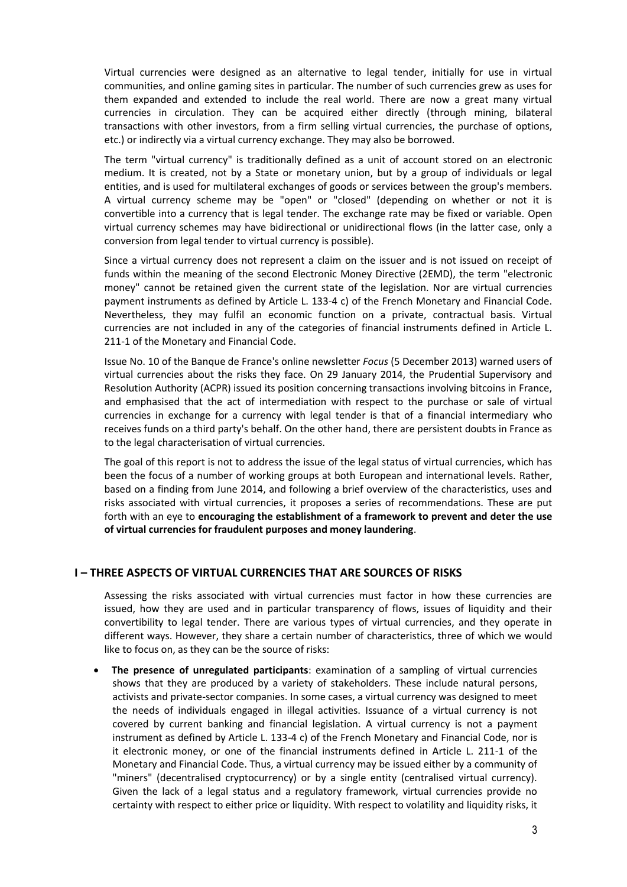Virtual currencies were designed as an alternative to legal tender, initially for use in virtual communities, and online gaming sites in particular. The number of such currencies grew as uses for them expanded and extended to include the real world. There are now a great many virtual currencies in circulation. They can be acquired either directly (through mining, bilateral transactions with other investors, from a firm selling virtual currencies, the purchase of options, etc.) or indirectly via a virtual currency exchange. They may also be borrowed.

The term "virtual currency" is traditionally defined as a unit of account stored on an electronic medium. It is created, not by a State or monetary union, but by a group of individuals or legal entities, and is used for multilateral exchanges of goods or services between the group's members. A virtual currency scheme may be "open" or "closed" (depending on whether or not it is convertible into a currency that is legal tender. The exchange rate may be fixed or variable. Open virtual currency schemes may have bidirectional or unidirectional flows (in the latter case, only a conversion from legal tender to virtual currency is possible).

Since a virtual currency does not represent a claim on the issuer and is not issued on receipt of funds within the meaning of the second Electronic Money Directive (2EMD), the term "electronic money" cannot be retained given the current state of the legislation. Nor are virtual currencies payment instruments as defined by Article L. 133-4 c) of the French Monetary and Financial Code. Nevertheless, they may fulfil an economic function on a private, contractual basis. Virtual currencies are not included in any of the categories of financial instruments defined in Article L. 211-1 of the Monetary and Financial Code.

Issue No. 10 of the Banque de France's online newsletter *Focus* (5 December 2013) warned users of virtual currencies about the risks they face. On 29 January 2014, the Prudential Supervisory and Resolution Authority (ACPR) issued its position concerning transactions involving bitcoins in France, and emphasised that the act of intermediation with respect to the purchase or sale of virtual currencies in exchange for a currency with legal tender is that of a financial intermediary who receives funds on a third party's behalf. On the other hand, there are persistent doubts in France as to the legal characterisation of virtual currencies.

The goal of this report is not to address the issue of the legal status of virtual currencies, which has been the focus of a number of working groups at both European and international levels. Rather, based on a finding from June 2014, and following a brief overview of the characteristics, uses and risks associated with virtual currencies, it proposes a series of recommendations. These are put forth with an eye to **encouraging the establishment of a framework to prevent and deter the use of virtual currencies for fraudulent purposes and money laundering**.

# **I – THREE ASPECTS OF VIRTUAL CURRENCIES THAT ARE SOURCES OF RISKS**

Assessing the risks associated with virtual currencies must factor in how these currencies are issued, how they are used and in particular transparency of flows, issues of liquidity and their convertibility to legal tender. There are various types of virtual currencies, and they operate in different ways. However, they share a certain number of characteristics, three of which we would like to focus on, as they can be the source of risks:

 **The presence of unregulated participants**: examination of a sampling of virtual currencies shows that they are produced by a variety of stakeholders. These include natural persons, activists and private-sector companies. In some cases, a virtual currency was designed to meet the needs of individuals engaged in illegal activities. Issuance of a virtual currency is not covered by current banking and financial legislation. A virtual currency is not a payment instrument as defined by Article L. 133-4 c) of the French Monetary and Financial Code, nor is it electronic money, or one of the financial instruments defined in Article L. 211-1 of the Monetary and Financial Code. Thus, a virtual currency may be issued either by a community of "miners" (decentralised cryptocurrency) or by a single entity (centralised virtual currency). Given the lack of a legal status and a regulatory framework, virtual currencies provide no certainty with respect to either price or liquidity. With respect to volatility and liquidity risks, it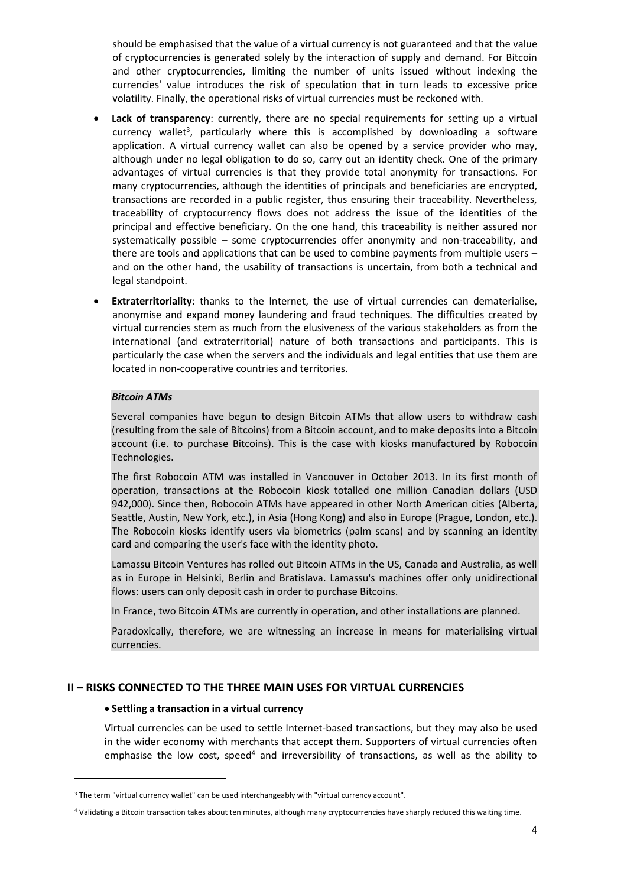should be emphasised that the value of a virtual currency is not guaranteed and that the value of cryptocurrencies is generated solely by the interaction of supply and demand. For Bitcoin and other cryptocurrencies, limiting the number of units issued without indexing the currencies' value introduces the risk of speculation that in turn leads to excessive price volatility. Finally, the operational risks of virtual currencies must be reckoned with.

- **Lack of transparency**: currently, there are no special requirements for setting up a virtual currency wallet<sup>3</sup>, particularly where this is accomplished by downloading a software application. A virtual currency wallet can also be opened by a service provider who may, although under no legal obligation to do so, carry out an identity check. One of the primary advantages of virtual currencies is that they provide total anonymity for transactions. For many cryptocurrencies, although the identities of principals and beneficiaries are encrypted, transactions are recorded in a public register, thus ensuring their traceability. Nevertheless, traceability of cryptocurrency flows does not address the issue of the identities of the principal and effective beneficiary. On the one hand, this traceability is neither assured nor systematically possible – some cryptocurrencies offer anonymity and non-traceability, and there are tools and applications that can be used to combine payments from multiple users – and on the other hand, the usability of transactions is uncertain, from both a technical and legal standpoint.
- **Extraterritoriality**: thanks to the Internet, the use of virtual currencies can dematerialise, anonymise and expand money laundering and fraud techniques. The difficulties created by virtual currencies stem as much from the elusiveness of the various stakeholders as from the international (and extraterritorial) nature of both transactions and participants. This is particularly the case when the servers and the individuals and legal entities that use them are located in non-cooperative countries and territories.

# *Bitcoin ATMs*

Several companies have begun to design Bitcoin ATMs that allow users to withdraw cash (resulting from the sale of Bitcoins) from a Bitcoin account, and to make deposits into a Bitcoin account (i.e. to purchase Bitcoins). This is the case with kiosks manufactured by Robocoin Technologies.

The first Robocoin ATM was installed in Vancouver in October 2013. In its first month of operation, transactions at the Robocoin kiosk totalled one million Canadian dollars (USD 942,000). Since then, Robocoin ATMs have appeared in other North American cities (Alberta, Seattle, Austin, New York, etc.), in Asia (Hong Kong) and also in Europe (Prague, London, etc.). The Robocoin kiosks identify users via biometrics (palm scans) and by scanning an identity card and comparing the user's face with the identity photo.

Lamassu Bitcoin Ventures has rolled out Bitcoin ATMs in the US, Canada and Australia, as well as in Europe in Helsinki, Berlin and Bratislava. Lamassu's machines offer only unidirectional flows: users can only deposit cash in order to purchase Bitcoins.

In France, two Bitcoin ATMs are currently in operation, and other installations are planned.

Paradoxically, therefore, we are witnessing an increase in means for materialising virtual currencies.

# **II – RISKS CONNECTED TO THE THREE MAIN USES FOR VIRTUAL CURRENCIES**

#### **Settling a transaction in a virtual currency**

-

Virtual currencies can be used to settle Internet-based transactions, but they may also be used in the wider economy with merchants that accept them. Supporters of virtual currencies often emphasise the low cost, speed<sup>4</sup> and irreversibility of transactions, as well as the ability to

<sup>&</sup>lt;sup>3</sup> The term "virtual currency wallet" can be used interchangeably with "virtual currency account".

<sup>4</sup> Validating a Bitcoin transaction takes about ten minutes, although many cryptocurrencies have sharply reduced this waiting time.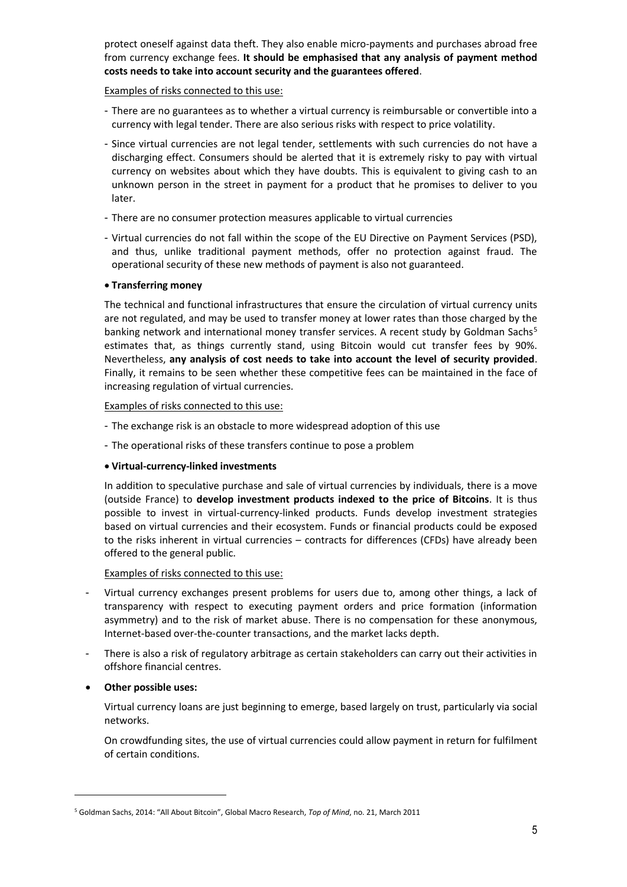protect oneself against data theft. They also enable micro-payments and purchases abroad free from currency exchange fees. **It should be emphasised that any analysis of payment method costs needs to take into account security and the guarantees offered**.

Examples of risks connected to this use:

- There are no guarantees as to whether a virtual currency is reimbursable or convertible into a currency with legal tender. There are also serious risks with respect to price volatility.
- Since virtual currencies are not legal tender, settlements with such currencies do not have a discharging effect. Consumers should be alerted that it is extremely risky to pay with virtual currency on websites about which they have doubts. This is equivalent to giving cash to an unknown person in the street in payment for a product that he promises to deliver to you later.
- There are no consumer protection measures applicable to virtual currencies
- Virtual currencies do not fall within the scope of the EU Directive on Payment Services (PSD), and thus, unlike traditional payment methods, offer no protection against fraud. The operational security of these new methods of payment is also not guaranteed.

#### **Transferring money**

The technical and functional infrastructures that ensure the circulation of virtual currency units are not regulated, and may be used to transfer money at lower rates than those charged by the banking network and international money transfer services. A recent study by Goldman Sachs<sup>5</sup> estimates that, as things currently stand, using Bitcoin would cut transfer fees by 90%. Nevertheless, **any analysis of cost needs to take into account the level of security provided**. Finally, it remains to be seen whether these competitive fees can be maintained in the face of increasing regulation of virtual currencies.

Examples of risks connected to this use:

- The exchange risk is an obstacle to more widespread adoption of this use
- The operational risks of these transfers continue to pose a problem

# **Virtual-currency-linked investments**

In addition to speculative purchase and sale of virtual currencies by individuals, there is a move (outside France) to **develop investment products indexed to the price of Bitcoins**. It is thus possible to invest in virtual-currency-linked products. Funds develop investment strategies based on virtual currencies and their ecosystem. Funds or financial products could be exposed to the risks inherent in virtual currencies – contracts for differences (CFDs) have already been offered to the general public.

Examples of risks connected to this use:

- Virtual currency exchanges present problems for users due to, among other things, a lack of transparency with respect to executing payment orders and price formation (information asymmetry) and to the risk of market abuse. There is no compensation for these anonymous, Internet-based over-the-counter transactions, and the market lacks depth.
- There is also a risk of regulatory arbitrage as certain stakeholders can carry out their activities in offshore financial centres.

# **Other possible uses:**

.<br>-

Virtual currency loans are just beginning to emerge, based largely on trust, particularly via social networks.

On crowdfunding sites, the use of virtual currencies could allow payment in return for fulfilment of certain conditions.

<sup>5</sup> Goldman Sachs, 2014: "All About Bitcoin", Global Macro Research, *Top of Mind*, no. 21, March 2011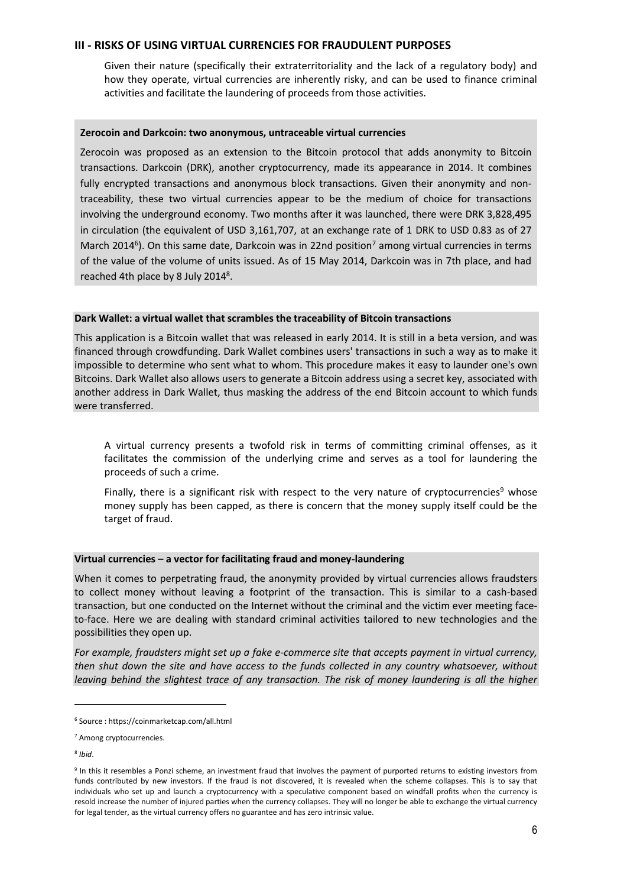#### **III - RISKS OF USING VIRTUAL CURRENCIES FOR FRAUDULENT PURPOSES**

Given their nature (specifically their extraterritoriality and the lack of a regulatory body) and how they operate, virtual currencies are inherently risky, and can be used to finance criminal activities and facilitate the laundering of proceeds from those activities.

#### **Zerocoin and Darkcoin: two anonymous, untraceable virtual currencies**

Zerocoin was proposed as an extension to the Bitcoin protocol that adds anonymity to Bitcoin transactions. Darkcoin (DRK), another cryptocurrency, made its appearance in 2014. It combines fully encrypted transactions and anonymous block transactions. Given their anonymity and nontraceability, these two virtual currencies appear to be the medium of choice for transactions involving the underground economy. Two months after it was launched, there were DRK 3,828,495 in circulation (the equivalent of USD 3,161,707, at an exchange rate of 1 DRK to USD 0.83 as of 27 March 2014<sup>6</sup>). On this same date, Darkcoin was in 22nd position<sup>7</sup> among virtual currencies in terms of the value of the volume of units issued. As of 15 May 2014, Darkcoin was in 7th place, and had reached 4th place by 8 July 2014<sup>8</sup>.

#### **Dark Wallet: a virtual wallet that scrambles the traceability of Bitcoin transactions**

This application is a Bitcoin wallet that was released in early 2014. It is still in a beta version, and was financed through crowdfunding. Dark Wallet combines users' transactions in such a way as to make it impossible to determine who sent what to whom. This procedure makes it easy to launder one's own Bitcoins. Dark Wallet also allows users to generate a Bitcoin address using a secret key, associated with another address in Dark Wallet, thus masking the address of the end Bitcoin account to which funds were transferred.

A virtual currency presents a twofold risk in terms of committing criminal offenses, as it facilitates the commission of the underlying crime and serves as a tool for laundering the proceeds of such a crime.

Finally, there is a significant risk with respect to the very nature of cryptocurrencies<sup>9</sup> whose money supply has been capped, as there is concern that the money supply itself could be the target of fraud.

# **Virtual currencies – a vector for facilitating fraud and money-laundering**

When it comes to perpetrating fraud, the anonymity provided by virtual currencies allows fraudsters to collect money without leaving a footprint of the transaction. This is similar to a cash-based transaction, but one conducted on the Internet without the criminal and the victim ever meeting faceto-face. Here we are dealing with standard criminal activities tailored to new technologies and the possibilities they open up.

*For example, fraudsters might set up a fake e-commerce site that accepts payment in virtual currency, then shut down the site and have access to the funds collected in any country whatsoever, without leaving behind the slightest trace of any transaction. The risk of money laundering is all the higher* 

8 *Ibid*.

.<br>-

<sup>6</sup> Source : https://coinmarketcap.com/all.html

<sup>7</sup> Among cryptocurrencies.

<sup>&</sup>lt;sup>9</sup> In this it resembles a Ponzi scheme, an investment fraud that involves the payment of purported returns to existing investors from funds contributed by new investors. If the fraud is not discovered, it is revealed when the scheme collapses. This is to say that individuals who set up and launch a cryptocurrency with a speculative component based on windfall profits when the currency is resold increase the number of injured parties when the currency collapses. They will no longer be able to exchange the virtual currency for legal tender, as the virtual currency offers no guarantee and has zero intrinsic value.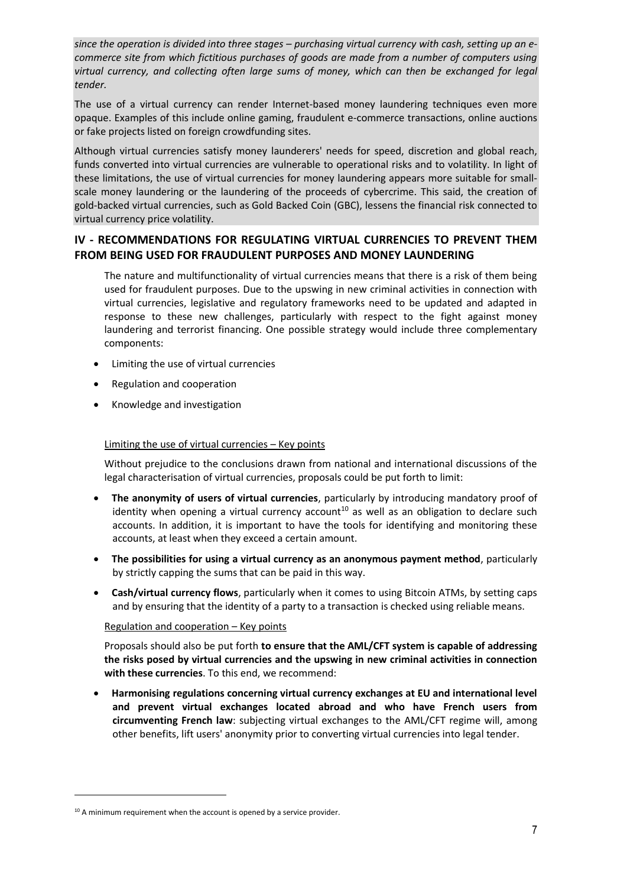*since the operation is divided into three stages – purchasing virtual currency with cash, setting up an ecommerce site from which fictitious purchases of goods are made from a number of computers using virtual currency, and collecting often large sums of money, which can then be exchanged for legal tender.*

The use of a virtual currency can render Internet-based money laundering techniques even more opaque. Examples of this include online gaming, fraudulent e-commerce transactions, online auctions or fake projects listed on foreign crowdfunding sites.

Although virtual currencies satisfy money launderers' needs for speed, discretion and global reach, funds converted into virtual currencies are vulnerable to operational risks and to volatility. In light of these limitations, the use of virtual currencies for money laundering appears more suitable for smallscale money laundering or the laundering of the proceeds of cybercrime. This said, the creation of gold-backed virtual currencies, such as Gold Backed Coin (GBC), lessens the financial risk connected to virtual currency price volatility.

# **IV - RECOMMENDATIONS FOR REGULATING VIRTUAL CURRENCIES TO PREVENT THEM FROM BEING USED FOR FRAUDULENT PURPOSES AND MONEY LAUNDERING**

The nature and multifunctionality of virtual currencies means that there is a risk of them being used for fraudulent purposes. Due to the upswing in new criminal activities in connection with virtual currencies, legislative and regulatory frameworks need to be updated and adapted in response to these new challenges, particularly with respect to the fight against money laundering and terrorist financing. One possible strategy would include three complementary components:

- Limiting the use of virtual currencies
- Regulation and cooperation
- Knowledge and investigation

#### Limiting the use of virtual currencies – Key points

Without prejudice to the conclusions drawn from national and international discussions of the legal characterisation of virtual currencies, proposals could be put forth to limit:

- **The anonymity of users of virtual currencies**, particularly by introducing mandatory proof of identity when opening a virtual currency account<sup>10</sup> as well as an obligation to declare such accounts. In addition, it is important to have the tools for identifying and monitoring these accounts, at least when they exceed a certain amount.
- **The possibilities for using a virtual currency as an anonymous payment method**, particularly by strictly capping the sums that can be paid in this way.
- **Cash/virtual currency flows**, particularly when it comes to using Bitcoin ATMs, by setting caps and by ensuring that the identity of a party to a transaction is checked using reliable means.

#### Regulation and cooperation – Key points

Proposals should also be put forth **to ensure that the AML/CFT system is capable of addressing the risks posed by virtual currencies and the upswing in new criminal activities in connection with these currencies**. To this end, we recommend:

 **Harmonising regulations concerning virtual currency exchanges at EU and international level and prevent virtual exchanges located abroad and who have French users from circumventing French law**: subjecting virtual exchanges to the AML/CFT regime will, among other benefits, lift users' anonymity prior to converting virtual currencies into legal tender.

.<br>-

<sup>&</sup>lt;sup>10</sup> A minimum requirement when the account is opened by a service provider.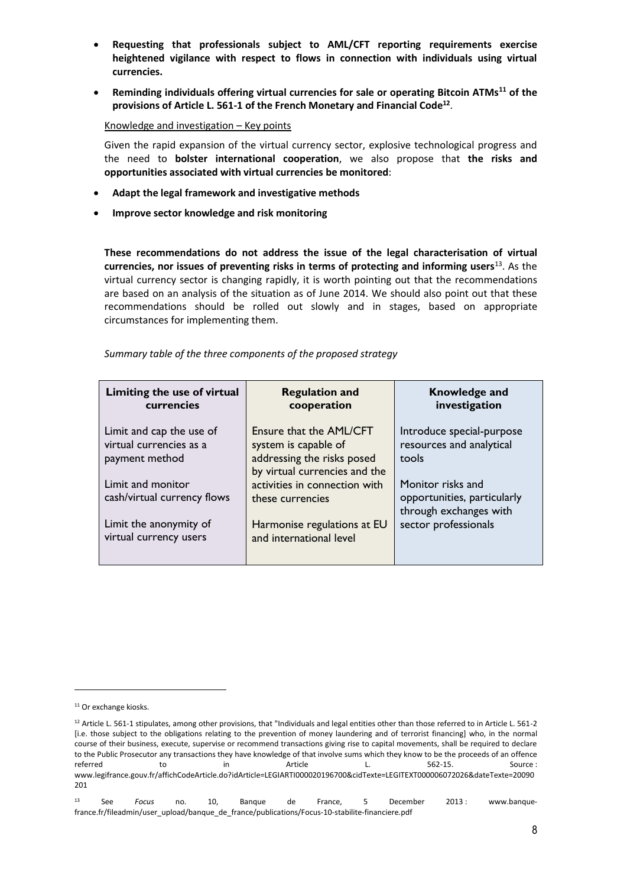- **Requesting that professionals subject to AML/CFT reporting requirements exercise heightened vigilance with respect to flows in connection with individuals using virtual currencies.**
- **Reminding individuals offering virtual currencies for sale or operating Bitcoin ATMs<sup>11</sup> of the provisions of Article L. 561-1 of the French Monetary and Financial Code<sup>12</sup>** .

Knowledge and investigation – Key points

Given the rapid expansion of the virtual currency sector, explosive technological progress and the need to **bolster international cooperation**, we also propose that **the risks and opportunities associated with virtual currencies be monitored**:

- **Adapt the legal framework and investigative methods**
- **Improve sector knowledge and risk monitoring**

**These recommendations do not address the issue of the legal characterisation of virtual currencies, nor issues of preventing risks in terms of protecting and informing users**<sup>13</sup>. As the virtual currency sector is changing rapidly, it is worth pointing out that the recommendations are based on an analysis of the situation as of June 2014. We should also point out that these recommendations should be rolled out slowly and in stages, based on appropriate circumstances for implementing them.

*Summary table of the three components of the proposed strategy*

| Limiting the use of virtual<br>currencies                             | <b>Regulation and</b><br>cooperation                                                                           | Knowledge and<br>investigation                                             |
|-----------------------------------------------------------------------|----------------------------------------------------------------------------------------------------------------|----------------------------------------------------------------------------|
| Limit and cap the use of<br>virtual currencies as a<br>payment method | Ensure that the AML/CFT<br>system is capable of<br>addressing the risks posed<br>by virtual currencies and the | Introduce special-purpose<br>resources and analytical<br>tools             |
| Limit and monitor<br>cash/virtual currency flows                      | activities in connection with<br>these currencies                                                              | Monitor risks and<br>opportunities, particularly<br>through exchanges with |
| Limit the anonymity of<br>virtual currency users                      | Harmonise regulations at EU<br>and international level                                                         | sector professionals                                                       |

<u>.</u>

<sup>&</sup>lt;sup>11</sup> Or exchange kiosks.

<sup>&</sup>lt;sup>12</sup> Article L. 561-1 stipulates, among other provisions, that "Individuals and legal entities other than those referred to in Article L. 561-2 [i.e. those subject to the obligations relating to the prevention of money laundering and of terrorist financing] who, in the normal course of their business, execute, supervise or recommend transactions giving rise to capital movements, shall be required to declare to the Public Prosecutor any transactions they have knowledge of that involve sums which they know to be the proceeds of an offence referred to in Article L. 562-15. Source : www.legifrance.gouv.fr/affichCodeArticle.do?idArticle=LEGIARTI000020196700&cidTexte=LEGITEXT000006072026&dateTexte=20090 201

<sup>13</sup> See *Focus* no. 10, Banque de France, 5 December 2013 : www.banquefrance.fr/fileadmin/user\_upload/banque\_de\_france/publications/Focus-10-stabilite-financiere.pdf